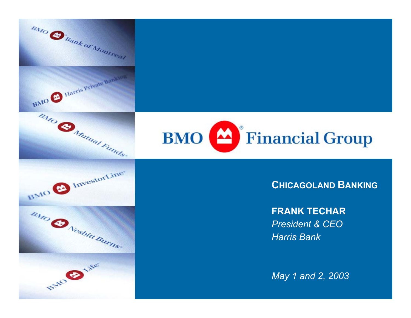



#### **CHICAGOLAND BANKING**

**FRANK TECHAR**

*President & CEOHarris Bank*

*May 1 and 2, 2003*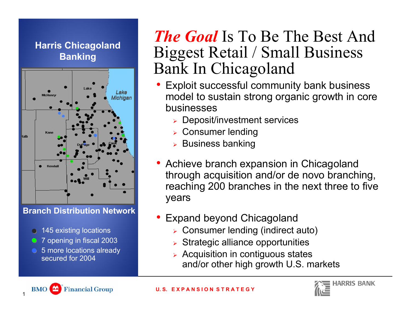#### **Harris Chicagoland Banking**



**Branch Distribution Network**

- 145 existing locations
- 7 opening in fiscal 2003
- 5 more locations already secured for 2004

### *The Goal* Is To Be The Best And Biggest Retail / Small Business Bank In Chicagoland

- Exploit successful community bank business model to sustain strong organic growth in core businesses
	- ¾ Deposit/investment services
	- ¾ Consumer lending
	- ¾ Business banking
- Achieve branch expansion in Chicagoland through acquisition and/or de novo branching, reaching 200 branches in the next three to five years
- • Expand beyond Chicagoland
	- ¾Consumer lending (indirect auto)
	- $\triangleright$  Strategic alliance opportunities
	- ¾ Acquisition in contiguous states and/or other high growth U.S. markets



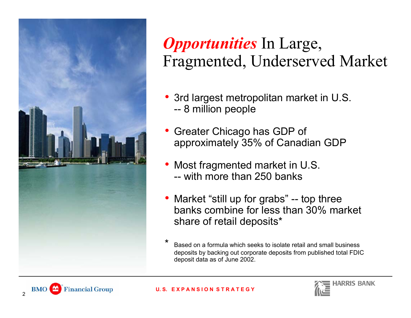

## *Opportunities* In Large, Fragmented, Underserved Market

- 3rd largest metropolitan market in U.S. --8 million people
- Greater Chicago has GDP of approximately 35% of Canadian GDP
- • Most fragmented market in U.S. -- with more than 250 banks
- Market "still up for grabs" -- top three banks combine for less than 30% market share of retail deposits\*
- Based on a formula which seeks to isolate retail and small business deposits by backing out corporate deposits from p u blished total FDIC deposit data as of June 2002.



2

#### **U. S. E X P A N S I O N S T R A T E G Y**

\*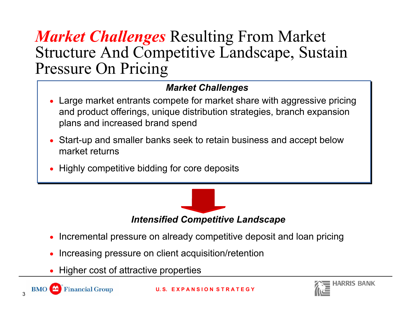#### *Market Challenges* Resulting From Market Structure And Competitive Landscape, Sustain Pressure On Pricing

#### *Market Challenges*

- • Large market entrants compete for market share with aggressive pricing and product offerings, unique distribution strategies, branch expansion plans and increased brand spend
- • Start-up and smaller banks seek to retain business and accept below market returns
- •Highly competitive bidding for core deposits



- Incremental pressure on already competitive deposit and loan pricing
- •Increasing pressure on client acquisition/retention
- •Higher cost of attractive properties

3

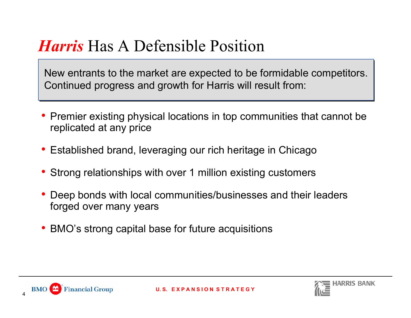## *Harris* Has A Defensible Position

New entrants to the market are expected to be formidable competitors. Continued progress and growth for Harris will result from:

- Premier existing physical locations in top communities that cannot be replicated at any price
- Established brand, leveraging our rich heritage in Chicago
- Strong relationships with over 1 million existing customers
- • Deep bonds with local communities/businesses and their leaders forged over many years
- BMO's strong capital base for future acquisitions



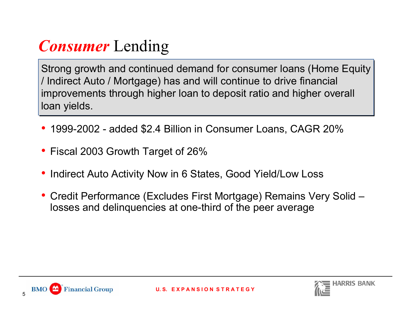# *Consumer* Lending

Strong growth and continued demand for consumer loans (Home Equity / Indirect Auto / Mortgage) has and will continue to drive financial improvements through higher loan to deposit ratio and higher overall loan yields.

- 1999-2002 added \$2.4 Billion in Consumer Loans, CAGR 20%
- Fiscal 2003 Growth Target of 26%
- •Indirect Auto Activity Now in 6 States, Good Yield/Low Loss
- Credit Performance (Excludes First Mortgage) Remains Very Solid losses and delinquencies at one-third of the peer average



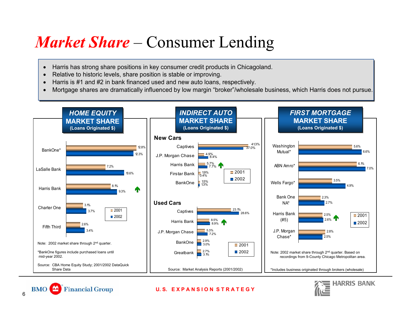## *Market Share* – Consumer Lending

- •Harris has strong share positions in key consumer credit products in Chicagoland.
- •Relative to historic levels, share position is stable or improving.
- •Harris is #1 and #2 in bank financed used and new auto loans, respectively.
- •Mortgage shares are dramatically influenced by low margin "broker"/wholesale business, which Harris does not pursue.





#### **U. S. E X P A N S I O N S T R A T E G Y**

**BMO** 

**Financial Group**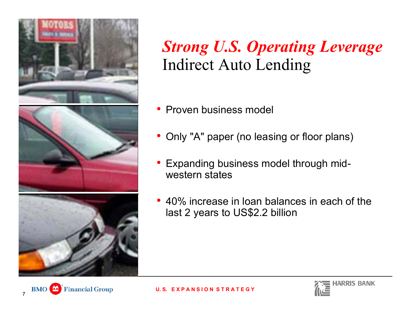

## *Strong U.S. Operating Leverage* Indirect Auto Lending

- Proven business model
- Only "A" paper (no leasing or floor plans)
- • Expanding business model through midwestern states
- 40% increase in loan balances in each of the last 2 years to US\$2.2 billion



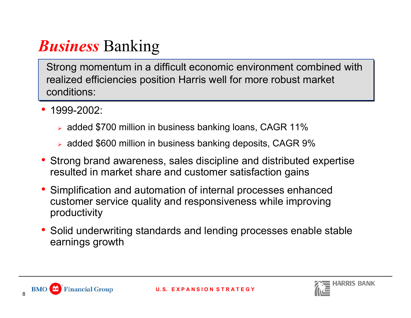# *Business* Banking

Strong momentum in a difficult economic environment combined with realized efficiencies position Harris well for more robust market conditions:

- • 1999-2002:
	- ¾ added \$700 million in business banking loans, CAGR 11%
	- ¾ added \$600 million in business banking deposits, CAGR 9%
- Strong brand awareness, sales discipline and distributed expertise resulted in market share and customer satisfaction gains
- Simplification and automation of internal processes enhanced customer service quality and responsiveness while improving productivity
- Solid underwriting standards and lending processes enable stable earnings growth



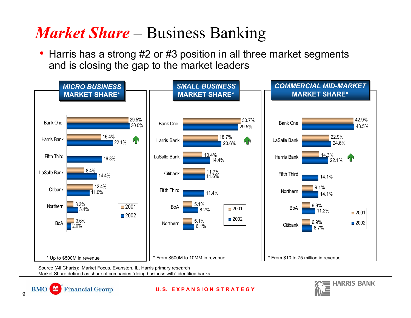## *Market Share* – Business Banking

• Harris has a strong #2 or #3 position in all three market segments and is closing the gap to the market leaders



**U. S. E X P A N S I O N S T R A T E G Y**

Source (All Charts): Market Focus, Evanston, IL, Harris primary research Market Share defined as share of companies "doing business with" identified banks

**Financial Group** 

9

**BMO**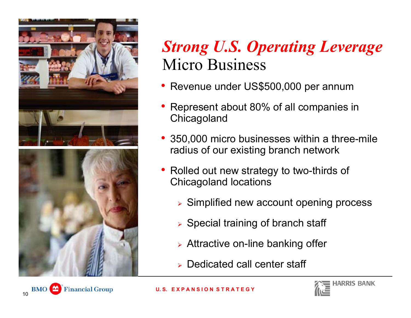

## *Strong U.S. Operating Leverage* Micro Business

- Revenue under US\$500,000 per annum
- Represent about 80% of all companies in **Chicagoland**
- 350,000 micro businesses within a three-mile radius of our existing branch network
- Rolled out new strategy to two-thirds of Chicagoland locations
	- ¾ Simplified new account opening process
	- ¾ Special training of branch staff
	- ¾ Attractive on-line banking offer
	- ¾ Dedicated call center sta ff



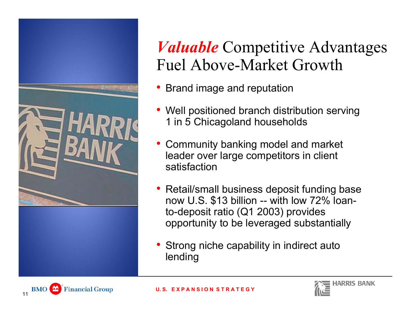

## *Valuable* Competitive Advantages Fuel Above-Market Growth

- Brand image and reputation
- • Well positioned branch distribution serving 1 in 5 Chicagoland households
- Community banking model and market leader over large competitors in client satisfaction
- • Retail/small business deposit funding base now U.S. \$13 billion -- with low 72% loanto-deposit ratio (Q1 2003) provides opportunity to be leveraged substantially
- Strong niche capability in indirect auto lending



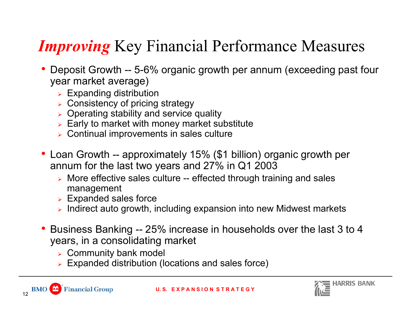# *Improving* Key Financial Performance Measures

- • Deposit Growth -- 5-6% organic growth per annum (exceeding past four year market average)
	- $\triangleright$  Expanding distribution
	- ¾ Consistency of pricing strategy
	- ¾Operating stability and service quality
	- $\triangleright$  Early to market with money market substitute
	- ¾ Continual improvements in sales culture
- Loan Growth -- approximately 15% (\$1 billion) organic growth per annum for the last two years and 27% in Q1 2003
	- ¾ More effective sales culture -- effected through training and sales management
	- $\triangleright$  Expanded sales force
	- $\triangleright$  Indirect auto growth, including expansion into new Midwest markets
- Business Banking -- 25% increase in households over the last 3 to 4 years, in a consolidating market
	- $\triangleright$  Community bank model
	- ¾Expanded distribution (locations and sales force)

12

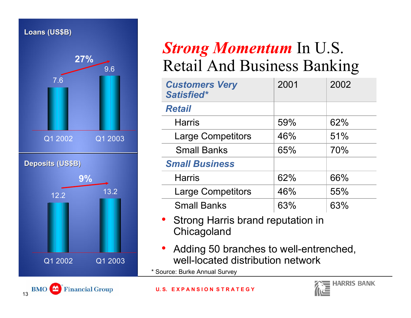#### **Loans (US\$B) Loans (US\$B)**



## *Strong Momentum* In U.S. Retail And Business Banking

| <b>Customers Very</b><br>Satisfied* | 2001 | 2002 |
|-------------------------------------|------|------|
| <b>Retail</b>                       |      |      |
| <b>Harris</b>                       | 59%  | 62%  |
| <b>Large Competitors</b>            | 46%  | 51%  |
| <b>Small Banks</b>                  | 65%  | 70%  |
| <b>Small Business</b>               |      |      |
| <b>Harris</b>                       | 62%  | 66%  |
| <b>Large Competitors</b>            | 46%  | 55%  |
| <b>Small Banks</b>                  | 63%  | 63%  |

- • Strong Harris brand reputation in **Chicagoland**
- • Adding 50 branches to well-entrenched, well-located distribution network

\* Source: Burke Annual Survey

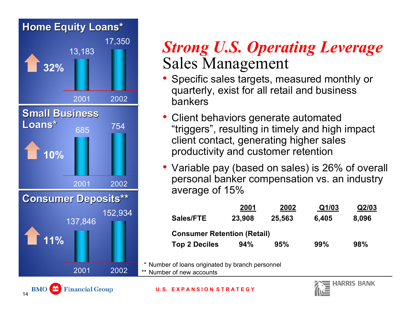

#### *Strong U.S. Operating Leverage* Sales Management

- Specific sales targets, measured monthly or quarterly, exist for all retail and business bankers
- • Client behaviors generate automated "triggers", resulting in timely and high impact client contact, generating higher sales productivity and customer retention
- Variable pay (based on sales) is 26% of overall personal banker compensation vs. an industry average of 15%

| 2001   | 2002   | Q1/03                              | Q2/03 |
|--------|--------|------------------------------------|-------|
| 23,908 | 25,563 | 6,405                              | 8,096 |
|        |        |                                    |       |
| 94%    | 95%    | 99%                                | 98%   |
|        |        | <b>Consumer Retention (Retail)</b> |       |

\* Number of loans originated by branch personnel

\*\* Number of new accounts

**U. S. E X P A N S I O N S T R A T E G Y**



**BMO**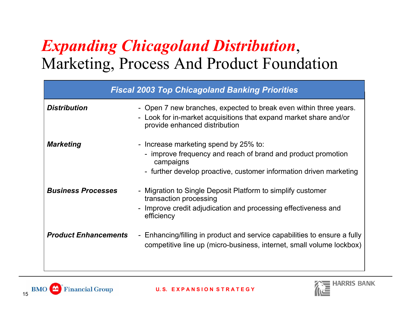# *Expanding Chicagoland Distribution*, Marketing, Process And Product Foundation

| <b>Fiscal 2003 Top Chicagoland Banking Priorities</b> |                                                                                                                                                                                          |  |
|-------------------------------------------------------|------------------------------------------------------------------------------------------------------------------------------------------------------------------------------------------|--|
| <b>Distribution</b>                                   | - Open 7 new branches, expected to break even within three years.<br>- Look for in-market acquisitions that expand market share and/or<br>provide enhanced distribution                  |  |
| <b>Marketing</b>                                      | - Increase marketing spend by 25% to:<br>- improve frequency and reach of brand and product promotion<br>campaigns<br>- further develop proactive, customer information driven marketing |  |
| <b>Business Processes</b>                             | - Migration to Single Deposit Platform to simplify customer<br>transaction processing<br>Improve credit adjudication and processing effectiveness and<br>efficiency                      |  |
| <b>Product Enhancements</b>                           | - Enhancing/filling in product and service capabilities to ensure a fully<br>competitive line up (micro-business, internet, small volume lockbox)                                        |  |



15

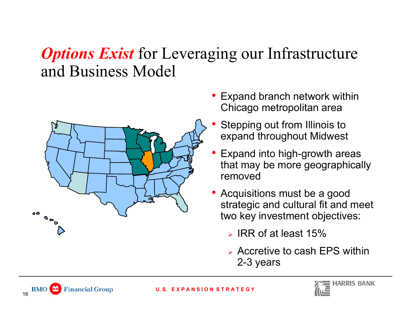## *Options Exist* for Leveraging our Infrastructure and Business Model



- Expand branch network within Chicago metropolitan area
- • Stepping out from Illinois to expand throughout Midwest
- • Expand into high-growth areas that may be more geographically removed
- Acquisitions must be a good strategic and cultural fit and meet two key investment objectives:
	- $>$  IRR of at least 15%  $\,$
	- ¾ Accretive to cash EPS within 2-3 years



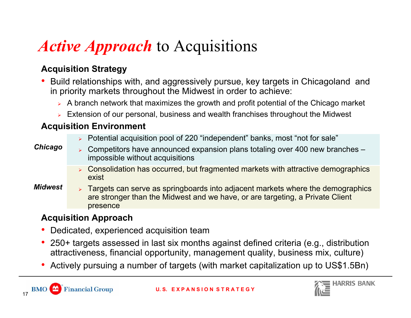# *Active Approach* to Acquisitions

#### **Acquisition Strategy**

- • Build relationships with, and aggressively pursue, key targets in Chicagoland and in priority markets throughout the Midwest in order to achieve:
	- $\triangleright$  A branch network that maximizes the growth and profit potential of the Chicago market
	- ¾ Extension of our personal, business and wealth franchises throughout the Midwest

#### **Acquisition Environment**

¾ Potential acquisition pool of 220 "independent" banks, most "not for sale"

#### *Chicago*

- ¾ Competitors have announced expansion plans totaling over 400 new branches – impossible without acquisitions
	- ¾ Consolidation has occurred, but fragmented markets with attractive demographics exist
- ¾ Targets can serve as springboards into adjacent markets where the demographics are stronger than the Midwest and we have, or are targeting, a Private Client presence *Midwest*

#### **Acquisition Approach**

- •Dedicated, experienced acquisition team
- $\bullet$  250+ targets assessed in last six months against defined criteria (e.g., distribution attractiveness, financial opportunity, management quality, business mix, culture)
- •Actively pursuing a number of targets (with market capitalization up to US\$1.5Bn)

17